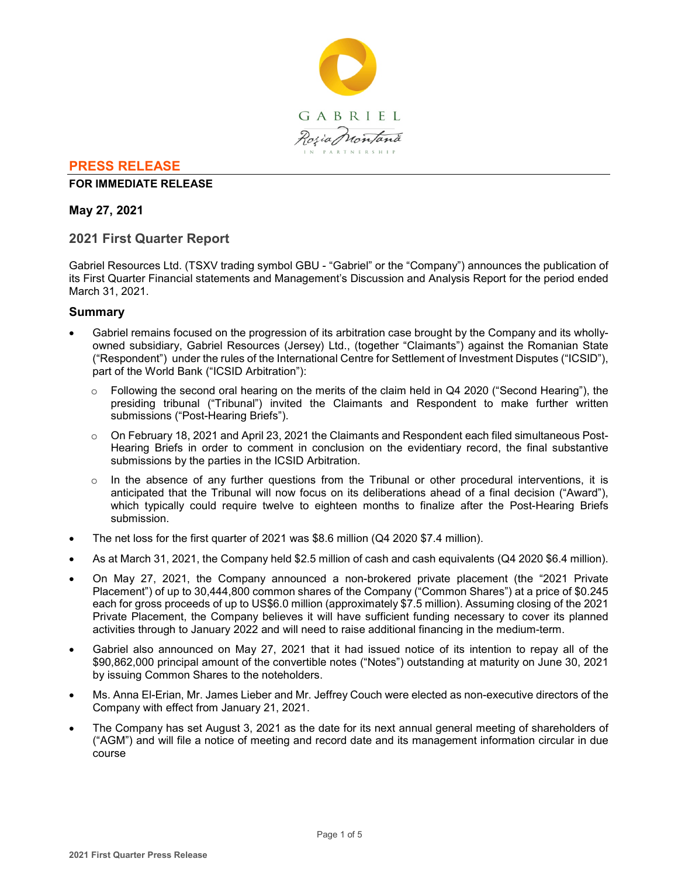

# **PRESS RELEASE**

## **FOR IMMEDIATE RELEASE**

## **May 27, 2021**

# **2021 First Quarter Report**

Gabriel Resources Ltd. (TSXV trading symbol GBU - "Gabriel" or the "Company") announces the publication of its First Quarter Financial statements and Management's Discussion and Analysis Report for the period ended March 31, 2021.

## **Summary**

- Gabriel remains focused on the progression of its arbitration case brought by the Company and its whollyowned subsidiary, Gabriel Resources (Jersey) Ltd., (together "Claimants") against the Romanian State ("Respondent") under the rules of the International Centre for Settlement of Investment Disputes ("ICSID"), part of the World Bank ("ICSID Arbitration"):
	- $\circ$  Following the second oral hearing on the merits of the claim held in Q4 2020 ("Second Hearing"), the presiding tribunal ("Tribunal") invited the Claimants and Respondent to make further written submissions ("Post-Hearing Briefs").
	- o On February 18, 2021 and April 23, 2021 the Claimants and Respondent each filed simultaneous Post-Hearing Briefs in order to comment in conclusion on the evidentiary record, the final substantive submissions by the parties in the ICSID Arbitration.
	- $\circ$  In the absence of any further questions from the Tribunal or other procedural interventions, it is anticipated that the Tribunal will now focus on its deliberations ahead of a final decision ("Award"), which typically could require twelve to eighteen months to finalize after the Post-Hearing Briefs submission.
- The net loss for the first quarter of 2021 was \$8.6 million (Q4 2020 \$7.4 million).
- As at March 31, 2021, the Company held \$2.5 million of cash and cash equivalents (Q4 2020 \$6.4 million).
- On May 27, 2021, the Company announced a non-brokered private placement (the "2021 Private Placement") of up to 30,444,800 common shares of the Company ("Common Shares") at a price of \$0.245 each for gross proceeds of up to US\$6.0 million (approximately \$7.5 million). Assuming closing of the 2021 Private Placement, the Company believes it will have sufficient funding necessary to cover its planned activities through to January 2022 and will need to raise additional financing in the medium-term.
- Gabriel also announced on May 27, 2021 that it had issued notice of its intention to repay all of the \$90,862,000 principal amount of the convertible notes ("Notes") outstanding at maturity on June 30, 2021 by issuing Common Shares to the noteholders.
- Ms. Anna El-Erian, Mr. James Lieber and Mr. Jeffrey Couch were elected as non-executive directors of the Company with effect from January 21, 2021.
- The Company has set August 3, 2021 as the date for its next annual general meeting of shareholders of ("AGM") and will file a notice of meeting and record date and its management information circular in due course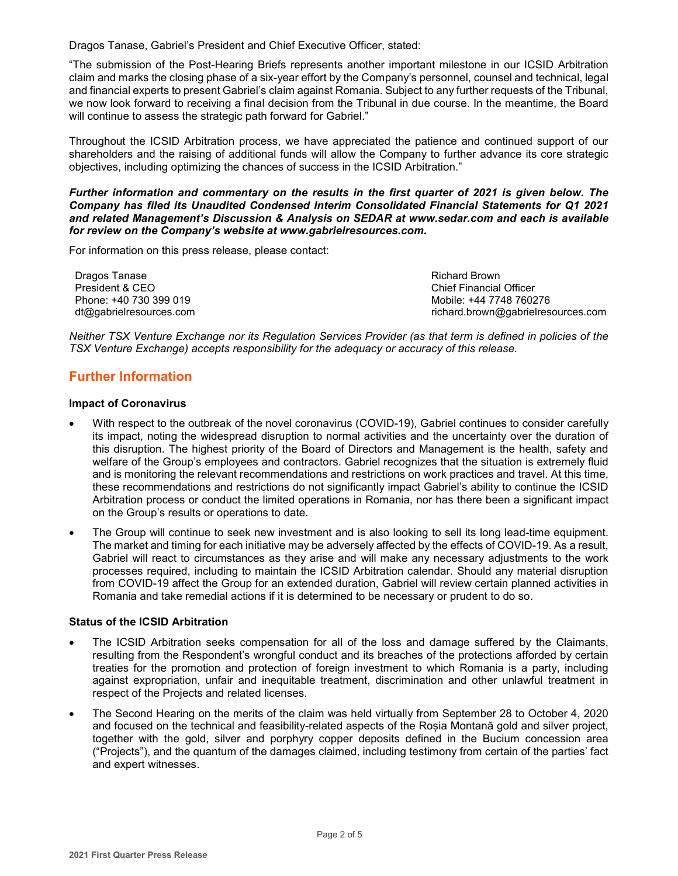Dragos Tanase, Gabriel's President and Chief Executive Officer, stated:

"The submission of the Post-Hearing Briefs represents another important milestone in our ICSID Arbitration claim and marks the closing phase of a six-year effort by the Company's personnel, counsel and technical, legal and financial experts to present Gabriel's claim against Romania. Subject to any further requests of the Tribunal, we now look forward to receiving a final decision from the Tribunal in due course. In the meantime, the Board will continue to assess the strategic path forward for Gabriel."

Throughout the ICSID Arbitration process, we have appreciated the patience and continued support of our shareholders and the raising of additional funds will allow the Company to further advance its core strategic objectives, including optimizing the chances of success in the ICSID Arbitration."

#### *Further information and commentary on the results in the first quarter of 2021 is given below. The Company has filed its Unaudited Condensed Interim Consolidated Financial Statements for Q1 2021 and related Management's Discussion & Analysis on SEDAR at www.sedar.com and each is available for review on the Company's website at www.gabrielresources.com.*

For information on this press release, please contact:

Dragos Tanase President & CEO Phone: +40 730 399 019 dt@gabrielresources.com Richard Brown Chief Financial Officer Mobile: +44 7748 760276 richard.brown@gabrielresources.com

*Neither TSX Venture Exchange nor its Regulation Services Provider (as that term is defined in policies of the TSX Venture Exchange) accepts responsibility for the adequacy or accuracy of this release.*

# **Further Information**

## **Impact of Coronavirus**

- With respect to the outbreak of the novel coronavirus (COVID-19), Gabriel continues to consider carefully its impact, noting the widespread disruption to normal activities and the uncertainty over the duration of this disruption. The highest priority of the Board of Directors and Management is the health, safety and welfare of the Group's employees and contractors. Gabriel recognizes that the situation is extremely fluid and is monitoring the relevant recommendations and restrictions on work practices and travel. At this time, these recommendations and restrictions do not significantly impact Gabriel's ability to continue the ICSID Arbitration process or conduct the limited operations in Romania, nor has there been a significant impact on the Group's results or operations to date.
- The Group will continue to seek new investment and is also looking to sell its long lead-time equipment. The market and timing for each initiative may be adversely affected by the effects of COVID-19. As a result, Gabriel will react to circumstances as they arise and will make any necessary adjustments to the work processes required, including to maintain the ICSID Arbitration calendar. Should any material disruption from COVID-19 affect the Group for an extended duration, Gabriel will review certain planned activities in Romania and take remedial actions if it is determined to be necessary or prudent to do so.

## **Status of the ICSID Arbitration**

- The ICSID Arbitration seeks compensation for all of the loss and damage suffered by the Claimants, resulting from the Respondent's wrongful conduct and its breaches of the protections afforded by certain treaties for the promotion and protection of foreign investment to which Romania is a party, including against expropriation, unfair and inequitable treatment, discrimination and other unlawful treatment in respect of the Projects and related licenses.
- The Second Hearing on the merits of the claim was held virtually from September 28 to October 4, 2020 and focused on the technical and feasibility-related aspects of the Roșia Montană gold and silver project, together with the gold, silver and porphyry copper deposits defined in the Bucium concession area ("Projects"), and the quantum of the damages claimed, including testimony from certain of the parties' fact and expert witnesses.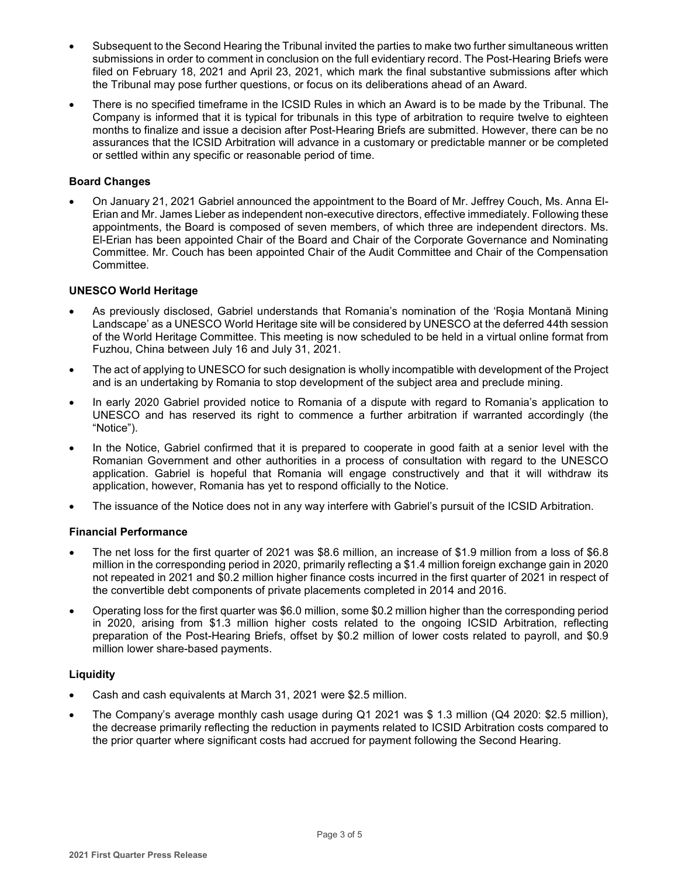- Subsequent to the Second Hearing the Tribunal invited the parties to make two further simultaneous written submissions in order to comment in conclusion on the full evidentiary record. The Post-Hearing Briefs were filed on February 18, 2021 and April 23, 2021, which mark the final substantive submissions after which the Tribunal may pose further questions, or focus on its deliberations ahead of an Award.
- There is no specified timeframe in the ICSID Rules in which an Award is to be made by the Tribunal. The Company is informed that it is typical for tribunals in this type of arbitration to require twelve to eighteen months to finalize and issue a decision after Post-Hearing Briefs are submitted. However, there can be no assurances that the ICSID Arbitration will advance in a customary or predictable manner or be completed or settled within any specific or reasonable period of time.

## **Board Changes**

• On January 21, 2021 Gabriel announced the appointment to the Board of Mr. Jeffrey Couch, Ms. Anna El-Erian and Mr. James Lieber as independent non-executive directors, effective immediately. Following these appointments, the Board is composed of seven members, of which three are independent directors. Ms. El-Erian has been appointed Chair of the Board and Chair of the Corporate Governance and Nominating Committee. Mr. Couch has been appointed Chair of the Audit Committee and Chair of the Compensation Committee.

## **UNESCO World Heritage**

- As previously disclosed, Gabriel understands that Romania's nomination of the 'Roşia Montană Mining Landscape' as a UNESCO World Heritage site will be considered by UNESCO at the deferred 44th session of the World Heritage Committee. This meeting is now scheduled to be held in a virtual online format from Fuzhou, China between July 16 and July 31, 2021.
- The act of applying to UNESCO for such designation is wholly incompatible with development of the Project and is an undertaking by Romania to stop development of the subject area and preclude mining.
- In early 2020 Gabriel provided notice to Romania of a dispute with regard to Romania's application to UNESCO and has reserved its right to commence a further arbitration if warranted accordingly (the "Notice").
- In the Notice, Gabriel confirmed that it is prepared to cooperate in good faith at a senior level with the Romanian Government and other authorities in a process of consultation with regard to the UNESCO application. Gabriel is hopeful that Romania will engage constructively and that it will withdraw its application, however, Romania has yet to respond officially to the Notice.
- The issuance of the Notice does not in any way interfere with Gabriel's pursuit of the ICSID Arbitration.

## **Financial Performance**

- The net loss for the first quarter of 2021 was \$8.6 million, an increase of \$1.9 million from a loss of \$6.8 million in the corresponding period in 2020, primarily reflecting a \$1.4 million foreign exchange gain in 2020 not repeated in 2021 and \$0.2 million higher finance costs incurred in the first quarter of 2021 in respect of the convertible debt components of private placements completed in 2014 and 2016.
- Operating loss for the first quarter was \$6.0 million, some \$0.2 million higher than the corresponding period in 2020, arising from \$1.3 million higher costs related to the ongoing ICSID Arbitration, reflecting preparation of the Post-Hearing Briefs, offset by \$0.2 million of lower costs related to payroll, and \$0.9 million lower share-based payments.

## **Liquidity**

- Cash and cash equivalents at March 31, 2021 were \$2.5 million.
- The Company's average monthly cash usage during Q1 2021 was \$ 1.3 million (Q4 2020: \$2.5 million), the decrease primarily reflecting the reduction in payments related to ICSID Arbitration costs compared to the prior quarter where significant costs had accrued for payment following the Second Hearing.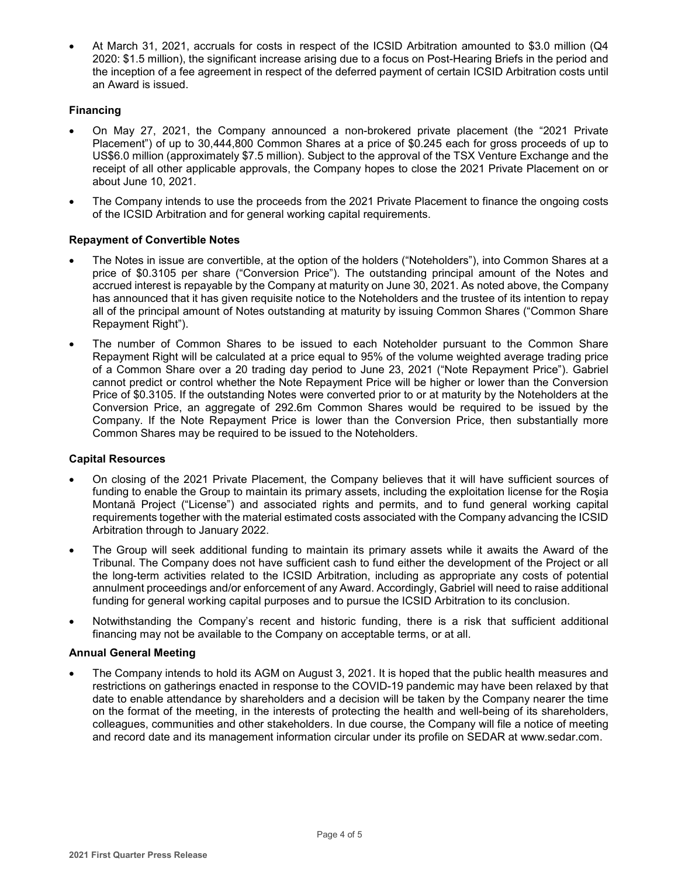• At March 31, 2021, accruals for costs in respect of the ICSID Arbitration amounted to \$3.0 million (Q4 2020: \$1.5 million), the significant increase arising due to a focus on Post-Hearing Briefs in the period and the inception of a fee agreement in respect of the deferred payment of certain ICSID Arbitration costs until an Award is issued.

## **Financing**

- On May 27, 2021, the Company announced a non-brokered private placement (the "2021 Private Placement") of up to 30,444,800 Common Shares at a price of \$0.245 each for gross proceeds of up to US\$6.0 million (approximately \$7.5 million). Subject to the approval of the TSX Venture Exchange and the receipt of all other applicable approvals, the Company hopes to close the 2021 Private Placement on or about June 10, 2021.
- The Company intends to use the proceeds from the 2021 Private Placement to finance the ongoing costs of the ICSID Arbitration and for general working capital requirements.

## **Repayment of Convertible Notes**

- The Notes in issue are convertible, at the option of the holders ("Noteholders"), into Common Shares at a price of \$0.3105 per share ("Conversion Price"). The outstanding principal amount of the Notes and accrued interest is repayable by the Company at maturity on June 30, 2021. As noted above, the Company has announced that it has given requisite notice to the Noteholders and the trustee of its intention to repay all of the principal amount of Notes outstanding at maturity by issuing Common Shares ("Common Share Repayment Right").
- The number of Common Shares to be issued to each Noteholder pursuant to the Common Share Repayment Right will be calculated at a price equal to 95% of the volume weighted average trading price of a Common Share over a 20 trading day period to June 23, 2021 ("Note Repayment Price"). Gabriel cannot predict or control whether the Note Repayment Price will be higher or lower than the Conversion Price of \$0.3105. If the outstanding Notes were converted prior to or at maturity by the Noteholders at the Conversion Price, an aggregate of 292.6m Common Shares would be required to be issued by the Company. If the Note Repayment Price is lower than the Conversion Price, then substantially more Common Shares may be required to be issued to the Noteholders.

## **Capital Resources**

- On closing of the 2021 Private Placement, the Company believes that it will have sufficient sources of funding to enable the Group to maintain its primary assets, including the exploitation license for the Roşia Montană Project ("License") and associated rights and permits, and to fund general working capital requirements together with the material estimated costs associated with the Company advancing the ICSID Arbitration through to January 2022.
- The Group will seek additional funding to maintain its primary assets while it awaits the Award of the Tribunal. The Company does not have sufficient cash to fund either the development of the Project or all the long-term activities related to the ICSID Arbitration, including as appropriate any costs of potential annulment proceedings and/or enforcement of any Award. Accordingly, Gabriel will need to raise additional funding for general working capital purposes and to pursue the ICSID Arbitration to its conclusion.
- Notwithstanding the Company's recent and historic funding, there is a risk that sufficient additional financing may not be available to the Company on acceptable terms, or at all.

#### **Annual General Meeting**

• The Company intends to hold its AGM on August 3, 2021. It is hoped that the public health measures and restrictions on gatherings enacted in response to the COVID-19 pandemic may have been relaxed by that date to enable attendance by shareholders and a decision will be taken by the Company nearer the time on the format of the meeting, in the interests of protecting the health and well-being of its shareholders, colleagues, communities and other stakeholders. In due course, the Company will file a notice of meeting and record date and its management information circular under its profile on SEDAR at www.sedar.com.